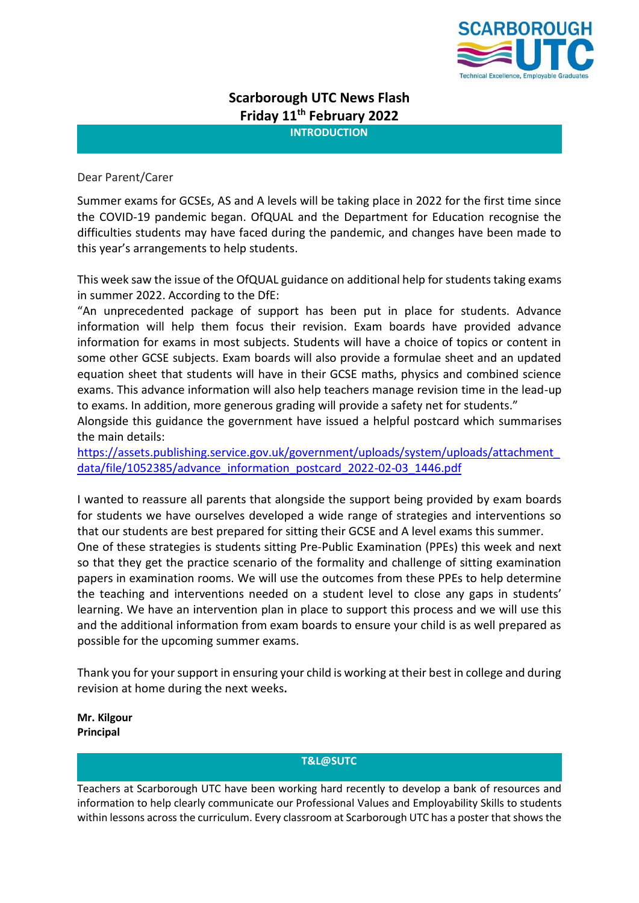

# **Scarborough UTC News Flash Friday 11th February 2022**

**INTRODUCTION**

# Dear Parent/Carer

Summer exams for GCSEs, AS and A levels will be taking place in 2022 for the first time since the COVID-19 pandemic began. OfQUAL and the Department for Education recognise the difficulties students may have faced during the pandemic, and changes have been made to this year's arrangements to help students.

This week saw the issue of the OfQUAL guidance on additional help for students taking exams in summer 2022. According to the DfE:

"An unprecedented package of support has been put in place for students. Advance information will help them focus their revision. Exam boards have provided advance information for exams in most subjects. Students will have a choice of topics or content in some other GCSE subjects. Exam boards will also provide a formulae sheet and an updated equation sheet that students will have in their GCSE maths, physics and combined science exams. This advance information will also help teachers manage revision time in the lead-up to exams. In addition, more generous grading will provide a safety net for students."

Alongside this guidance the government have issued a helpful postcard which summarises the main details:

[https://assets.publishing.service.gov.uk/government/uploads/system/uploads/attachment\\_](https://assets.publishing.service.gov.uk/government/uploads/system/uploads/attachment_data/file/1052385/advance_information_postcard_2022-02-03_1446.pdf) [data/file/1052385/advance\\_information\\_postcard\\_2022-02-03\\_1446.pdf](https://assets.publishing.service.gov.uk/government/uploads/system/uploads/attachment_data/file/1052385/advance_information_postcard_2022-02-03_1446.pdf)

I wanted to reassure all parents that alongside the support being provided by exam boards for students we have ourselves developed a wide range of strategies and interventions so that our students are best prepared for sitting their GCSE and A level exams this summer. One of these strategies is students sitting Pre-Public Examination (PPEs) this week and next so that they get the practice scenario of the formality and challenge of sitting examination papers in examination rooms. We will use the outcomes from these PPEs to help determine the teaching and interventions needed on a student level to close any gaps in students' learning. We have an intervention plan in place to support this process and we will use this and the additional information from exam boards to ensure your child is as well prepared as possible for the upcoming summer exams.

Thank you for your support in ensuring your child is working at their best in college and during revision at home during the next weeks**.**

**Mr. Kilgour Principal**

## **T&L@SUTC**

Teachers at Scarborough UTC have been working hard recently to develop a bank of resources and information to help clearly communicate our Professional Values and Employability Skills to students within lessons across the curriculum. Every classroom at Scarborough UTC has a poster that shows the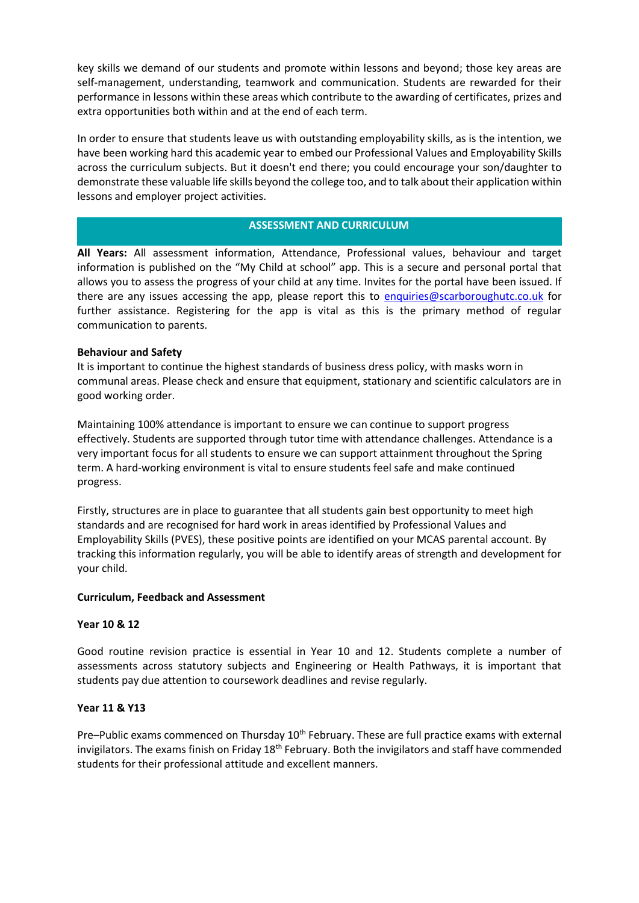key skills we demand of our students and promote within lessons and beyond; those key areas are self-management, understanding, teamwork and communication. Students are rewarded for their performance in lessons within these areas which contribute to the awarding of certificates, prizes and extra opportunities both within and at the end of each term.

In order to ensure that students leave us with outstanding employability skills, as is the intention, we have been working hard this academic year to embed our Professional Values and Employability Skills across the curriculum subjects. But it doesn't end there; you could encourage your son/daughter to demonstrate these valuable life skills beyond the college too, and to talk about their application within lessons and employer project activities.

# **ASSESSMENT AND CURRICULUM**

**All Years:** All assessment information, Attendance, Professional values, behaviour and target information is published on the "My Child at school" app. This is a secure and personal portal that allows you to assess the progress of your child at any time. Invites for the portal have been issued. If there are any issues accessing the app, please report this to [enquiries@scarboroughutc.co.uk](mailto:enquiries@scarboroughutc.co.uk) for further assistance. Registering for the app is vital as this is the primary method of regular communication to parents.

## **Behaviour and Safety**

It is important to continue the highest standards of business dress policy, with masks worn in communal areas. Please check and ensure that equipment, stationary and scientific calculators are in good working order.

Maintaining 100% attendance is important to ensure we can continue to support progress effectively. Students are supported through tutor time with attendance challenges. Attendance is a very important focus for all students to ensure we can support attainment throughout the Spring term. A hard-working environment is vital to ensure students feel safe and make continued progress.

Firstly, structures are in place to guarantee that all students gain best opportunity to meet high standards and are recognised for hard work in areas identified by Professional Values and Employability Skills (PVES), these positive points are identified on your MCAS parental account. By tracking this information regularly, you will be able to identify areas of strength and development for your child.

## **Curriculum, Feedback and Assessment**

## **Year 10 & 12**

Good routine revision practice is essential in Year 10 and 12. Students complete a number of assessments across statutory subjects and Engineering or Health Pathways, it is important that students pay due attention to coursework deadlines and revise regularly.

## **Year 11 & Y13**

Pre–Public exams commenced on Thursday 10<sup>th</sup> February. These are full practice exams with external invigilators. The exams finish on Friday  $18<sup>th</sup>$  February. Both the invigilators and staff have commended students for their professional attitude and excellent manners.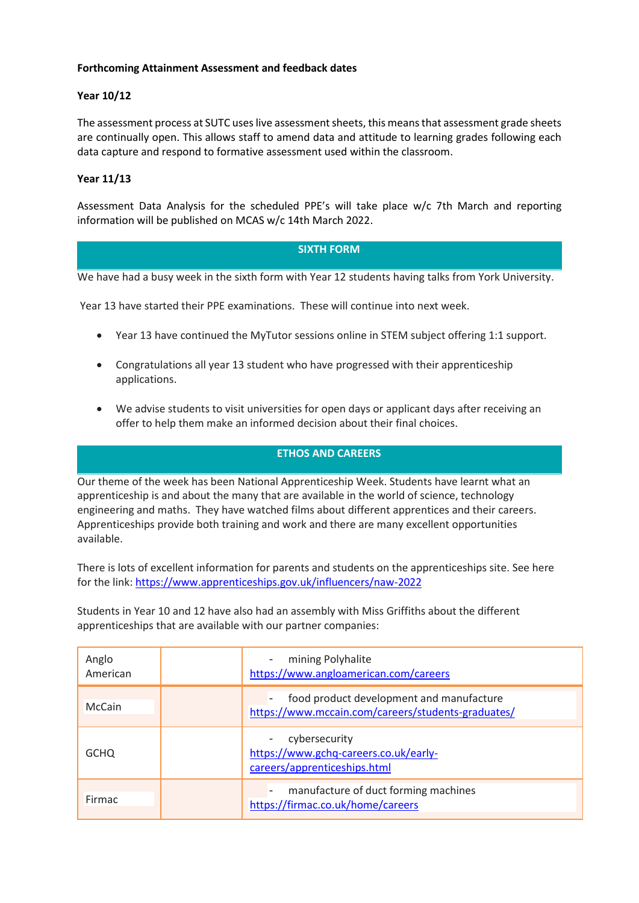# **Forthcoming Attainment Assessment and feedback dates**

# **Year 10/12**

The assessment process at SUTC uses live assessment sheets, this means that assessment grade sheets are continually open. This allows staff to amend data and attitude to learning grades following each data capture and respond to formative assessment used within the classroom.

# **Year 11/13**

Assessment Data Analysis for the scheduled PPE's will take place w/c 7th March and reporting information will be published on MCAS w/c 14th March 2022.

## **SIXTH FORM**

We have had a busy week in the sixth form with Year 12 students having talks from York University.

Year 13 have started their PPE examinations. These will continue into next week.

- Year 13 have continued the MyTutor sessions online in STEM subject offering 1:1 support.
- Congratulations all year 13 student who have progressed with their apprenticeship applications.
- We advise students to visit universities for open days or applicant days after receiving an offer to help them make an informed decision about their final choices.

# **ETHOS AND CAREERS**

Our theme of the week has been National Apprenticeship Week. Students have learnt what an apprenticeship is and about the many that are available in the world of science, technology engineering and maths. They have watched films about different apprentices and their careers. Apprenticeships provide both training and work and there are many excellent opportunities available.

There is lots of excellent information for parents and students on the apprenticeships site. See here for the link: <https://www.apprenticeships.gov.uk/influencers/naw-2022>

Students in Year 10 and 12 have also had an assembly with Miss Griffiths about the different apprenticeships that are available with our partner companies:

| Anglo<br>American | mining Polyhalite<br>https://www.angloamerican.com/careers                                     |
|-------------------|------------------------------------------------------------------------------------------------|
| McCain            | food product development and manufacture<br>https://www.mccain.com/careers/students-graduates/ |
| <b>GCHO</b>       | cybersecurity<br>https://www.gchq-careers.co.uk/early-<br>careers/apprenticeships.html         |
| Firmac            | manufacture of duct forming machines<br>https://firmac.co.uk/home/careers                      |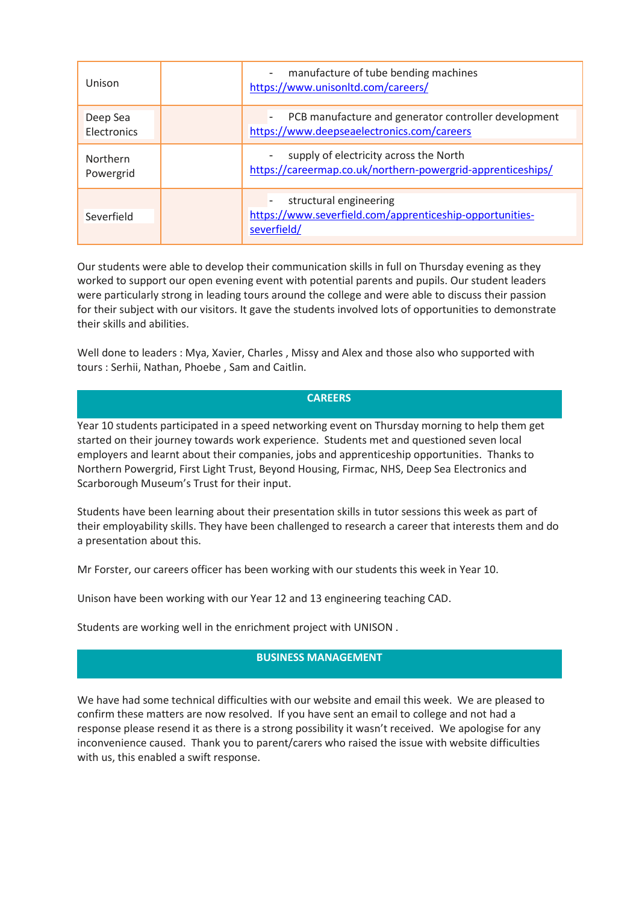| Unison                  | manufacture of tube bending machines<br>$\overline{\phantom{a}}$<br>https://www.unisonItd.com/careers/ |
|-------------------------|--------------------------------------------------------------------------------------------------------|
| Deep Sea<br>Electronics | PCB manufacture and generator controller development<br>https://www.deepseaelectronics.com/careers     |
| Northern<br>Powergrid   | supply of electricity across the North<br>https://careermap.co.uk/northern-powergrid-apprenticeships/  |
| Severfield              | structural engineering<br>https://www.severfield.com/apprenticeship-opportunities-<br>severfield/      |

Our students were able to develop their communication skills in full on Thursday evening as they worked to support our open evening event with potential parents and pupils. Our student leaders were particularly strong in leading tours around the college and were able to discuss their passion for their subject with our visitors. It gave the students involved lots of opportunities to demonstrate their skills and abilities.

Well done to leaders : Mya, Xavier, Charles , Missy and Alex and those also who supported with tours : Serhii, Nathan, Phoebe , Sam and Caitlin.

#### **CAREERS**

Year 10 students participated in a speed networking event on Thursday morning to help them get started on their journey towards work experience. Students met and questioned seven local employers and learnt about their companies, jobs and apprenticeship opportunities. Thanks to Northern Powergrid, First Light Trust, Beyond Housing, Firmac, NHS, Deep Sea Electronics and Scarborough Museum's Trust for their input.

Students have been learning about their presentation skills in tutor sessions this week as part of their employability skills. They have been challenged to research a career that interests them and do a presentation about this.

Mr Forster, our careers officer has been working with our students this week in Year 10.

Unison have been working with our Year 12 and 13 engineering teaching CAD.

Students are working well in the enrichment project with UNISON .

# **BUSINESS MANAGEMENT**

We have had some technical difficulties with our website and email this week. We are pleased to confirm these matters are now resolved. If you have sent an email to college and not had a response please resend it as there is a strong possibility it wasn't received. We apologise for any inconvenience caused. Thank you to parent/carers who raised the issue with website difficulties with us, this enabled a swift response.